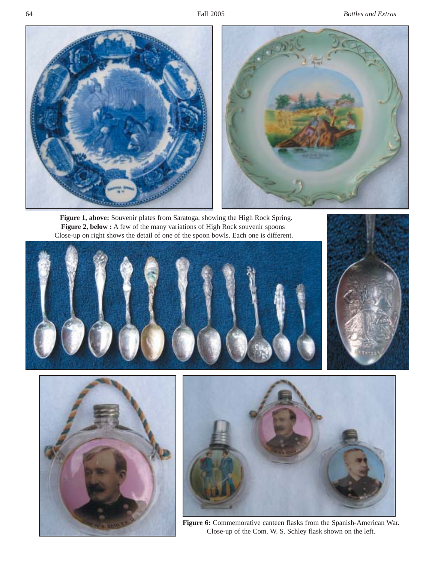

**Figure 1, above:** Souvenir plates from Saratoga, showing the High Rock Spring. **Figure 2, below :** A few of the many variations of High Rock souvenir spoons Close-up on right shows the detail of one of the spoon bowls. Each one is different.









**Figure 6:** Commemorative canteen flasks from the Spanish-American War. Close-up of the Com. W. S. Schley flask shown on the left.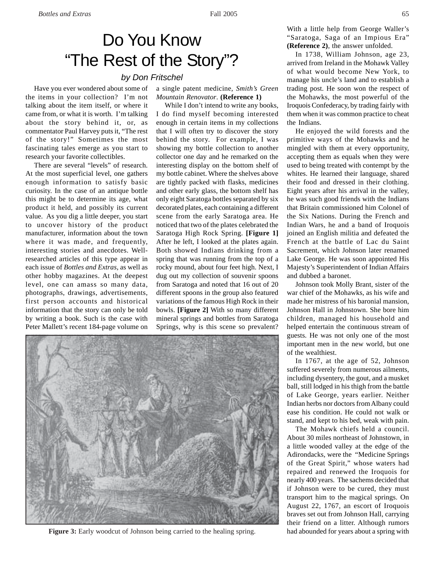## Do You Know "The Rest of the Story"?

## *by Don Fritschel*

Have you ever wondered about some of the items in your collection? I'm not talking about the item itself, or where it came from, or what it is worth. I'm talking about the story behind it, or, as commentator Paul Harvey puts it, "The rest of the story!" Sometimes the most fascinating tales emerge as you start to research your favorite collectibles.

There are several "levels" of research. At the most superficial level, one gathers enough information to satisfy basic curiosity. In the case of an antique bottle this might be to determine its age, what product it held, and possibly its current value. As you dig a little deeper, you start to uncover history of the product manufacturer, information about the town where it was made, and frequently, interesting stories and anecdotes. Wellresearched articles of this type appear in each issue of *Bottles and Extras*, as well as other hobby magazines. At the deepest level, one can amass so many data, photographs, drawings, advertisements, first person accounts and historical information that the story can only be told by writing a book. Such is the case with Peter Mallett's recent 184-page volume on

a single patent medicine, *Smith's Green Mountain Renovator*. **(Reference 1)**

While I don't intend to write any books, I do find myself becoming interested enough in certain items in my collections that I will often try to discover the story behind the story. For example, I was showing my bottle collection to another collector one day and he remarked on the interesting display on the bottom shelf of my bottle cabinet. Where the shelves above are tightly packed with flasks, medicines and other early glass, the bottom shelf has only eight Saratoga bottles separated by six decorated plates, each containing a different scene from the early Saratoga area. He noticed that two of the plates celebrated the Saratoga High Rock Spring. **[Figure 1]** After he left, I looked at the plates again. Both showed Indians drinking from a spring that was running from the top of a rocky mound, about four feet high. Next, I dug out my collection of souvenir spoons from Saratoga and noted that 16 out of 20 different spoons in the group also featured variations of the famous High Rock in their bowls. **[Figure 2]** With so many different mineral springs and bottles from Saratoga Springs, why is this scene so prevalent?



**Figure 3:** Early woodcut of Johnson being carried to the healing spring. had abounded for years about a spring with

With a little help from George Waller's "Saratoga, Saga of an Impious Era" **(Reference 2)**, the answer unfolded.

In 1738, William Johnson, age 23, arrived from Ireland in the Mohawk Valley of what would become New York, to manage his uncle's land and to establish a trading post. He soon won the respect of the Mohawks, the most powerful of the Iroquois Confederacy, by trading fairly with them when it was common practice to cheat the Indians.

He enjoyed the wild forests and the primitive ways of the Mohawks and he mingled with them at every opportunity, accepting them as equals when they were used to being treated with contempt by the whites. He learned their language, shared their food and dressed in their clothing. Eight years after his arrival in the valley, he was such good friends with the Indians that Britain commissioned him Colonel of the Six Nations. During the French and Indian Wars, he and a band of Iroquois joined an English militia and defeated the French at the battle of Lac du Saint Sacrement, which Johnson later renamed Lake George. He was soon appointed His Majesty's Superintendent of Indian Affairs and dubbed a baronet.

Johnson took Molly Brant, sister of the war chief of the Mohawks, as his wife and made her mistress of his baronial mansion, Johnson Hall in Johnstown. She bore him children, managed his household and helped entertain the continuous stream of guests. He was not only one of the most important men in the new world, but one of the wealthiest.

In 1767, at the age of 52, Johnson suffered severely from numerous ailments, including dysentery, the gout, and a musket ball, still lodged in his thigh from the battle of Lake George, years earlier. Neither Indian herbs nor doctors from Albany could ease his condition. He could not walk or stand, and kept to his bed, weak with pain.

The Mohawk chiefs held a council. About 30 miles northeast of Johnstown, in a little wooded valley at the edge of the Adirondacks, were the "Medicine Springs of the Great Spirit," whose waters had repaired and renewed the Iroquois for nearly 400 years. The sachems decided that if Johnson were to be cured, they must transport him to the magical springs. On August 22, 1767, an escort of Iroquois braves set out from Johnson Hall, carrying their friend on a litter. Although rumors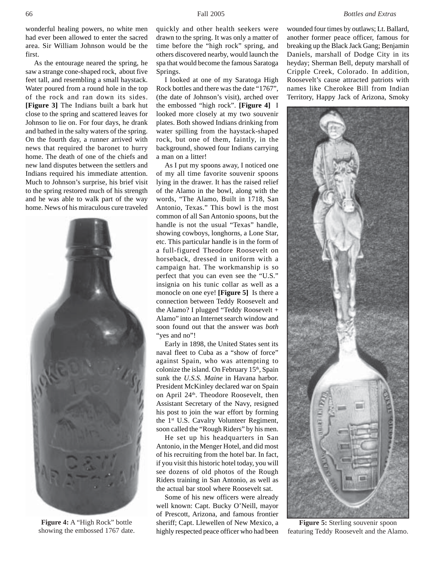wonderful healing powers, no white men had ever been allowed to enter the sacred area. Sir William Johnson would be the first.

As the entourage neared the spring, he saw a strange cone-shaped rock, about five feet tall, and resembling a small haystack. Water poured from a round hole in the top of the rock and ran down its sides. **[Figure 3]** The Indians built a bark hut close to the spring and scattered leaves for Johnson to lie on. For four days, he drank and bathed in the salty waters of the spring. On the fourth day, a runner arrived with news that required the baronet to hurry home. The death of one of the chiefs and new land disputes between the settlers and Indians required his immediate attention. Much to Johnson's surprise, his brief visit to the spring restored much of his strength and he was able to walk part of the way home. News of his miraculous cure traveled



**Figure 4:** A "High Rock" bottle showing the embossed 1767 date.

quickly and other health seekers were drawn to the spring. It was only a matter of time before the "high rock" spring, and others discovered nearby, would launch the spa that would become the famous Saratoga Springs.

I looked at one of my Saratoga High Rock bottles and there was the date "1767", (the date of Johnson's visit), arched over the embossed "high rock". **[Figure 4]** I looked more closely at my two souvenir plates. Both showed Indians drinking from water spilling from the haystack-shaped rock, but one of them, faintly, in the background, showed four Indians carrying a man on a litter!

As I put my spoons away, I noticed one of my all time favorite souvenir spoons lying in the drawer. It has the raised relief of the Alamo in the bowl, along with the words, "The Alamo, Built in 1718, San Antonio, Texas." This bowl is the most common of all San Antonio spoons, but the handle is not the usual "Texas" handle, showing cowboys, longhorns, a Lone Star, etc. This particular handle is in the form of a full-figured Theodore Roosevelt on horseback, dressed in uniform with a campaign hat. The workmanship is so perfect that you can even see the "U.S." insignia on his tunic collar as well as a monocle on one eye! **[Figure 5]** Is there a connection between Teddy Roosevelt and the Alamo? I plugged "Teddy Roosevelt + Alamo" into an Internet search window and soon found out that the answer was *both* "yes and no"!

Early in 1898, the United States sent its naval fleet to Cuba as a "show of force" against Spain, who was attempting to colonize the island. On February 15<sup>th</sup>, Spain sunk the *U.S.S. Maine* in Havana harbor. President McKinley declared war on Spain on April 24<sup>th</sup>. Theodore Roosevelt, then Assistant Secretary of the Navy, resigned his post to join the war effort by forming the 1<sup>st</sup> U.S. Cavalry Volunteer Regiment, soon called the "Rough Riders" by his men.

He set up his headquarters in San Antonio, in the Menger Hotel, and did most of his recruiting from the hotel bar. In fact, if you visit this historic hotel today, you will see dozens of old photos of the Rough Riders training in San Antonio, as well as the actual bar stool where Roosevelt sat.

Some of his new officers were already well known: Capt. Bucky O'Neill, mayor of Prescott, Arizona, and famous frontier sheriff; Capt. Llewellen of New Mexico, a highly respected peace officer who had been wounded four times by outlaws; Lt. Ballard, another former peace officer, famous for breaking up the Black Jack Gang; Benjamin Daniels, marshall of Dodge City in its heyday; Sherman Bell, deputy marshall of Cripple Creek, Colorado. In addition, Roosevelt's cause attracted patriots with names like Cherokee Bill from Indian Territory, Happy Jack of Arizona, Smoky



**Figure 5:** Sterling souvenir spoon featuring Teddy Roosevelt and the Alamo.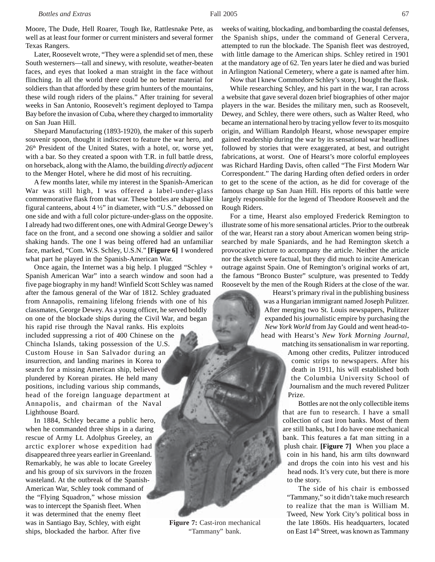Moore, The Dude, Hell Roarer, Tough Ike, Rattlesnake Pete, as well as at least four former or current ministers and several former Texas Rangers.

Later, Roosevelt wrote, "They were a splendid set of men, these South westerners—tall and sinewy, with resolute, weather-beaten faces, and eyes that looked a man straight in the face without flinching. In all the world there could be no better material for soldiers than that afforded by these grim hunters of the mountains, these wild rough riders of the plains." After training for several weeks in San Antonio, Roosevelt's regiment deployed to Tampa Bay before the invasion of Cuba, where they charged to immortality on San Juan Hill.

Shepard Manufacturing (1893-1920), the maker of this superb souvenir spoon, thought it indiscreet to feature the war hero, and 26<sup>th</sup> President of the United States, with a hotel, or, worse yet, with a bar. So they created a spoon with T.R. in full battle dress, on horseback, along with the Alamo, the building *directly adjacent* to the Menger Hotel, where he did most of his recruiting.

A few months later, while my interest in the Spanish-American War was still high, I was offered a label-under-glass commemorative flask from that war. These bottles are shaped like figural canteens, about 4 ½" in diameter, with "U.S." debossed on one side and with a full color picture-under-glass on the opposite. I already had two different ones, one with Admiral George Dewey's face on the front, and a second one showing a soldier and sailor shaking hands. The one I was being offered had an unfamiliar face, marked, "Com. W.S. Schley, U.S.N." **[Figure 6]** I wondered what part he played in the Spanish-American War.

Once again, the Internet was a big help. I plugged "Schley + Spanish American War" into a search window and soon had a five page biography in my hand! Winfield Scott Schley was named after the famous general of the War of 1812. Schley graduated from Annapolis, remaining lifelong friends with one of his classmates, George Dewey. As a young officer, he served boldly on one of the blockade ships during the Civil War, and began his rapid rise through the Naval ranks. His exploits included suppressing a riot of 400 Chinese on the Chincha Islands, taking possession of the U.S. Custom House in San Salvador during an insurrection, and landing marines in Korea to search for a missing American ship, believed plundered by Korean pirates. He held many positions, including various ship commands, head of the foreign language department at Annapolis, and chairman of the Naval Lighthouse Board.

In 1884, Schley became a public hero, when he commanded three ships in a daring rescue of Army Lt. Adolphus Greeley, an arctic explorer whose expedition had disappeared three years earlier in Greenland. Remarkably, he was able to locate Greeley and his group of six survivors in the frozen wasteland. At the outbreak of the Spanish-American War, Schley took command of the "Flying Squadron," whose mission was to intercept the Spanish fleet. When it was determined that the enemy fleet was in Santiago Bay, Schley, with eight ships, blockaded the harbor. After five

weeks of waiting, blockading, and bombarding the coastal defenses, the Spanish ships, under the command of General Cervera, attempted to run the blockade. The Spanish fleet was destroyed, with little damage to the American ships. Schley retired in 1901 at the mandatory age of 62. Ten years later he died and was buried in Arlington National Cemetery, where a gate is named after him.

Now that I knew Commodore Schley's story, I bought the flask.

While researching Schley, and his part in the war, I ran across a website that gave several dozen brief biographies of other major players in the war. Besides the military men, such as Roosevelt, Dewey, and Schley, there were others, such as Walter Reed, who became an international hero by tracing yellow fever to its mosquito origin, and William Randolph Hearst, whose newspaper empire gained readership during the war by its sensational war headlines followed by stories that were exaggerated, at best, and outright fabrications, at worst. One of Hearst's more colorful employees was Richard Harding Davis, often called "The First Modern War Correspondent." The daring Harding often defied orders in order to get to the scene of the action, as he did for coverage of the famous charge up San Juan Hill. His reports of this battle were largely responsible for the legend of Theodore Roosevelt and the Rough Riders.

For a time, Hearst also employed Frederick Remington to illustrate some of his more sensational articles. Prior to the outbreak of the war, Hearst ran a story about American women being stripsearched by male Spaniards, and he had Remington sketch a provocative picture to accompany the article. Neither the article nor the sketch were factual, but they did much to incite American outrage against Spain. One of Remington's original works of art, the famous "Bronco Buster" sculpture, was presented to Teddy Roosevelt by the men of the Rough Riders at the close of the war.

> Hearst's primary rival in the publishing business was a Hungarian immigrant named Joseph Pulitzer. After merging two St. Louis newspapers, Pulitzer expanded his journalistic empire by purchasing the *New York World* from Jay Gould and went head-tohead with Hearst's *New York Morning Journal,* matching its sensationalism in war reporting.

Among other credits, Pulitzer introduced comic strips to newspapers. After his death in 1911, his will established both the Columbia University School of Journalism and the much revered Pulitzer Prize.

Bottles are not the only collectible items that are fun to research. I have a small collection of cast iron banks. Most of them are still banks, but I do have one mechanical bank. This features a fat man sitting in a plush chair. **[Figure 7]** When you place a coin in his hand, his arm tilts downward and drops the coin into his vest and his head nods. It's very cute, but there is more to the story.

The side of his chair is embossed "Tammany," so it didn't take much research to realize that the man is William M. Tweed, New York City's political boss in the late 1860s. His headquarters, located on East 14th Street, was known as Tammany

**Figure 7:** Cast-iron mechanical "Tammany" bank.